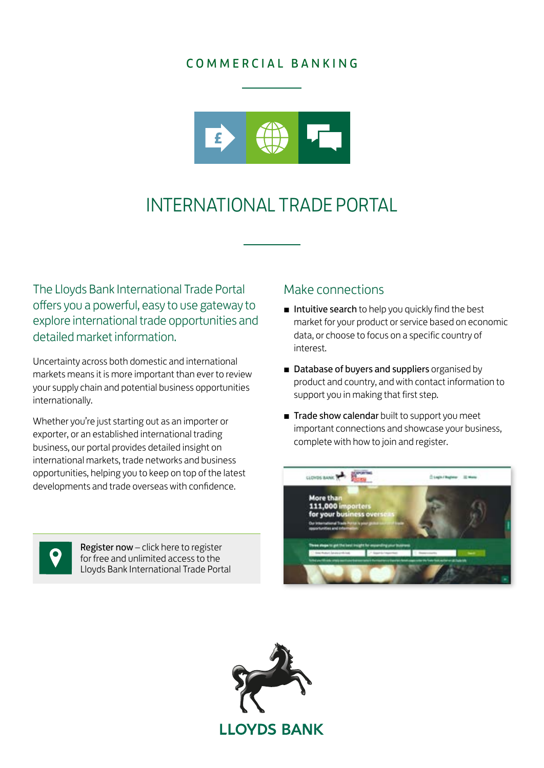## COMMERCIAL BANKING



# INTERNATIONAL TRADE PORTAL

The Lloyds Bank International Trade Portal offers you a powerful, easy to use gateway to explore international trade opportunities and detailed market information.

Uncertainty across both domestic and international markets means it is more important than ever to review your supply chain and potential business opportunities internationally.

Whether you're just starting out as an importer or exporter, or an established international trading business, our portal provides detailed insight on international markets, trade networks and business opportunities, helping you to keep on top of the latest developments and trade overseas with confidence.

#### Make connections

- Intuitive search to help you quickly find the best market for your product or service based on economic data, or choose to focus on a specific country of interest.
- Database of buyers and suppliers organised by product and country, and with contact information to support you in making that first step.
- Trade show calendar built to support you meet important connections and showcase your business, complete with how to join and register.





Register now – click here to register for free and unlimited access to the [Lloyds Bank International Trade Portal](https://www.lloydsbanktrade.com/en/profile/create?utm_source=BRC%20ITP%20Tile&utm_medium=Website&utm_campaign=International)